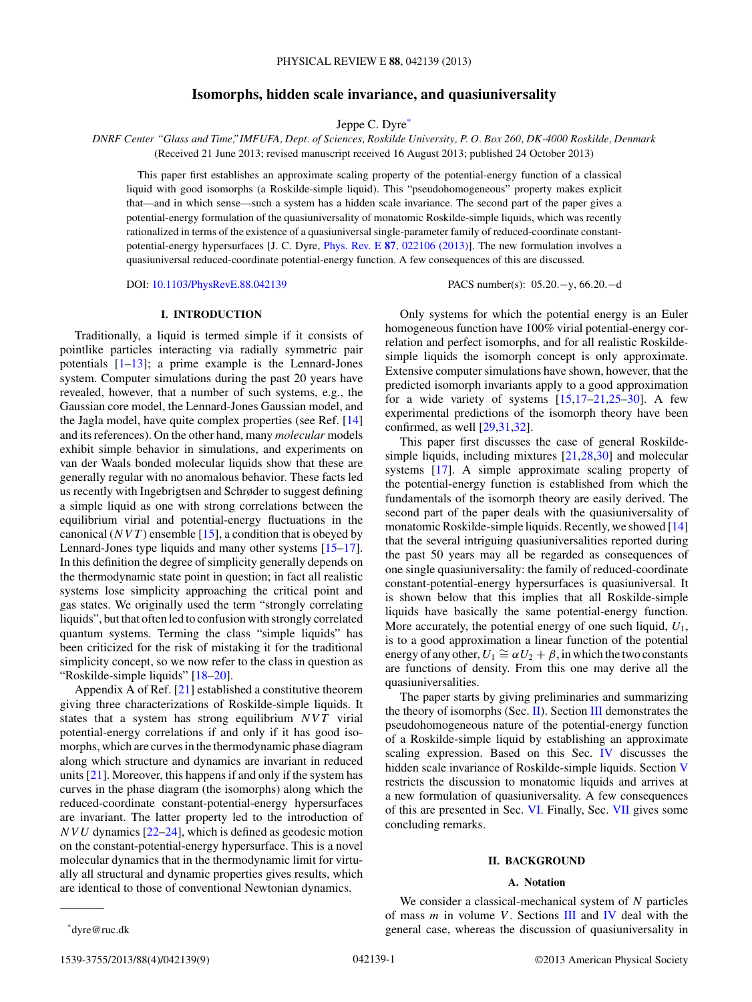# **Isomorphs, hidden scale invariance, and quasiuniversality**

Jeppe C. Dyre\*

*DNRF Center "Glass and Time,"IMFUFA, Dept. of Sciences, Roskilde University, P. O. Box 260, DK-4000 Roskilde, Denmark* (Received 21 June 2013; revised manuscript received 16 August 2013; published 24 October 2013)

This paper first establishes an approximate scaling property of the potential-energy function of a classical liquid with good isomorphs (a Roskilde-simple liquid). This "pseudohomogeneous" property makes explicit that—and in which sense—such a system has a hidden scale invariance. The second part of the paper gives a potential-energy formulation of the quasiuniversality of monatomic Roskilde-simple liquids, which was recently rationalized in terms of the existence of a quasiuniversal single-parameter family of reduced-coordinate constantpotential-energy hypersurfaces [J. C. Dyre, Phys. Rev. E **87**[, 022106 \(2013\)\]](http://dx.doi.org/10.1103/PhysRevE.87.022106). The new formulation involves a quasiuniversal reduced-coordinate potential-energy function. A few consequences of this are discussed.

DOI: [10.1103/PhysRevE.88.042139](http://dx.doi.org/10.1103/PhysRevE.88.042139) PACS number(s): 05*.*20*.*−y, 66*.*20*.*−d

## **I. INTRODUCTION**

Traditionally, a liquid is termed simple if it consists of pointlike particles interacting via radially symmetric pair potentials  $[1-13]$ ; a prime example is the Lennard-Jones system. Computer simulations during the past 20 years have revealed, however, that a number of such systems, e.g., the Gaussian core model, the Lennard-Jones Gaussian model, and the Jagla model, have quite complex properties (see Ref. [\[14\]](#page-7-0) and its references). On the other hand, many *molecular* models exhibit simple behavior in simulations, and experiments on van der Waals bonded molecular liquids show that these are generally regular with no anomalous behavior. These facts led us recently with Ingebrigtsen and Schrøder to suggest defining a simple liquid as one with strong correlations between the equilibrium virial and potential-energy fluctuations in the canonical  $(NYT)$  ensemble [\[15\]](#page-7-0), a condition that is obeyed by Lennard-Jones type liquids and many other systems [\[15–17\]](#page-7-0). In this definition the degree of simplicity generally depends on the thermodynamic state point in question; in fact all realistic systems lose simplicity approaching the critical point and gas states. We originally used the term "strongly correlating liquids", but that often led to confusion with strongly correlated quantum systems. Terming the class "simple liquids" has been criticized for the risk of mistaking it for the traditional simplicity concept, so we now refer to the class in question as "Roskilde-simple liquids" [\[18–](#page-7-0)[20\]](#page-8-0).

Appendix A of Ref.  $[21]$  established a constitutive theorem giving three characterizations of Roskilde-simple liquids. It states that a system has strong equilibrium *NVT* virial potential-energy correlations if and only if it has good isomorphs, which are curves in the thermodynamic phase diagram along which structure and dynamics are invariant in reduced units [\[21\]](#page-8-0). Moreover, this happens if and only if the system has curves in the phase diagram (the isomorphs) along which the reduced-coordinate constant-potential-energy hypersurfaces are invariant. The latter property led to the introduction of *NVU* dynamics [\[22–24\]](#page-8-0), which is defined as geodesic motion on the constant-potential-energy hypersurface. This is a novel molecular dynamics that in the thermodynamic limit for virtually all structural and dynamic properties gives results, which are identical to those of conventional Newtonian dynamics.

Only systems for which the potential energy is an Euler homogeneous function have 100% virial potential-energy correlation and perfect isomorphs, and for all realistic Roskildesimple liquids the isomorph concept is only approximate. Extensive computer simulations have shown, however, that the predicted isomorph invariants apply to a good approximation for a wide variety of systems  $[15,17-21,25-30]$ . A few experimental predictions of the isomorph theory have been confirmed, as well [\[29,31,32\]](#page-8-0).

This paper first discusses the case of general Roskilde-simple liquids, including mixtures [\[21,28,30\]](#page-8-0) and molecular systems [\[17\]](#page-7-0). A simple approximate scaling property of the potential-energy function is established from which the fundamentals of the isomorph theory are easily derived. The second part of the paper deals with the quasiuniversality of monatomic Roskilde-simple liquids. Recently, we showed [\[14\]](#page-7-0) that the several intriguing quasiuniversalities reported during the past 50 years may all be regarded as consequences of one single quasiuniversality: the family of reduced-coordinate constant-potential-energy hypersurfaces is quasiuniversal. It is shown below that this implies that all Roskilde-simple liquids have basically the same potential-energy function. More accurately, the potential energy of one such liquid, *U*1, is to a good approximation a linear function of the potential energy of any other,  $U_1 \cong \alpha U_2 + \beta$ , in which the two constants are functions of density. From this one may derive all the quasiuniversalities.

The paper starts by giving preliminaries and summarizing the theory of isomorphs (Sec.  $\Pi$ ). Section  $\Pi$  demonstrates the pseudohomogeneous nature of the potential-energy function of a Roskilde-simple liquid by establishing an approximate scaling expression. Based on this Sec. [IV](#page-4-0) discusses the hidden scale invariance of Roskilde-simple liquids. Section [V](#page-5-0) restricts the discussion to monatomic liquids and arrives at a new formulation of quasiuniversality. A few consequences of this are presented in Sec. [VI.](#page-6-0) Finally, Sec. [VII](#page-7-0) gives some concluding remarks.

#### **II. BACKGROUND**

## **A. Notation**

We consider a classical-mechanical system of *N* particles of mass *m* in volume *V* . Sections [III](#page-2-0) and [IV](#page-4-0) deal with the general case, whereas the discussion of quasiuniversality in

<sup>\*</sup>dyre@ruc.dk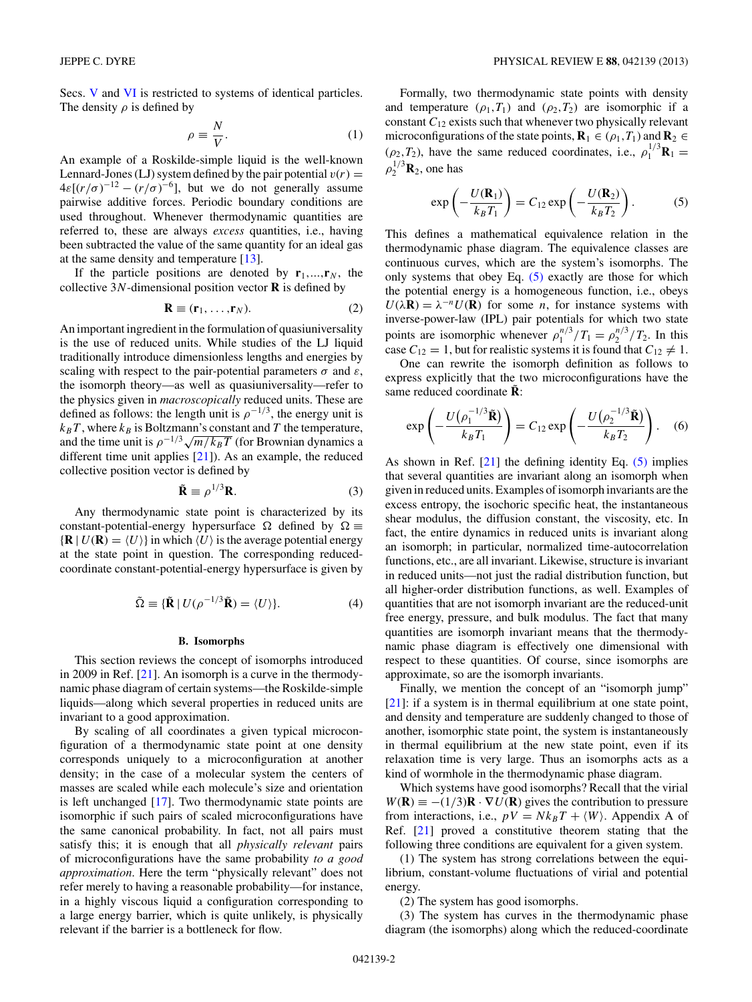<span id="page-1-0"></span>Secs. [V](#page-5-0) and [VI](#page-6-0) is restricted to systems of identical particles. The density  $\rho$  is defined by

$$
\rho \equiv \frac{N}{V}.\tag{1}
$$

An example of a Roskilde-simple liquid is the well-known Lennard-Jones (LJ) system defined by the pair potential  $v(r)$  =  $4\varepsilon[(r/\sigma)^{-12} - (r/\sigma)^{-6}]$ , but we do not generally assume pairwise additive forces. Periodic boundary conditions are used throughout. Whenever thermodynamic quantities are referred to, these are always *excess* quantities, i.e., having been subtracted the value of the same quantity for an ideal gas at the same density and temperature [\[13\]](#page-7-0).

If the particle positions are denoted by  $\mathbf{r}_1, \dots, \mathbf{r}_N$ , the collective 3*N*-dimensional position vector **R** is defined by

$$
\mathbf{R} \equiv (\mathbf{r}_1, \dots, \mathbf{r}_N). \tag{2}
$$

An important ingredient in the formulation of quasiuniversality is the use of reduced units. While studies of the LJ liquid traditionally introduce dimensionless lengths and energies by scaling with respect to the pair-potential parameters  $\sigma$  and  $\varepsilon$ , the isomorph theory—as well as quasiuniversality—refer to the physics given in *macroscopically* reduced units. These are defined as follows: the length unit is  $\rho^{-1/3}$ , the energy unit is  $k_B T$ , where  $k_B$  is Boltzmann's constant and  $T$  the temperature, and the time unit is  $\rho^{-1/3}\sqrt{m/k_BT}$  (for Brownian dynamics a different time unit applies  $[21]$ ). As an example, the reduced collective position vector is defined by

$$
\tilde{\mathbf{R}} \equiv \rho^{1/3} \mathbf{R}.\tag{3}
$$

Any thermodynamic state point is characterized by its constant-potential-energy hypersurface  $\Omega$  defined by  $\Omega \equiv$  ${\bf R} \mid U({\bf R}) = \langle U \rangle$  in which  $\langle U \rangle$  is the average potential energy at the state point in question. The corresponding reducedcoordinate constant-potential-energy hypersurface is given by

$$
\tilde{\Omega} \equiv \{ \tilde{\mathbf{R}} \mid U(\rho^{-1/3} \tilde{\mathbf{R}}) = \langle U \rangle \}. \tag{4}
$$

#### **B. Isomorphs**

This section reviews the concept of isomorphs introduced in 2009 in Ref. [\[21\]](#page-8-0). An isomorph is a curve in the thermodynamic phase diagram of certain systems—the Roskilde-simple liquids—along which several properties in reduced units are invariant to a good approximation.

By scaling of all coordinates a given typical microconfiguration of a thermodynamic state point at one density corresponds uniquely to a microconfiguration at another density; in the case of a molecular system the centers of masses are scaled while each molecule's size and orientation is left unchanged [\[17\]](#page-7-0). Two thermodynamic state points are isomorphic if such pairs of scaled microconfigurations have the same canonical probability. In fact, not all pairs must satisfy this; it is enough that all *physically relevant* pairs of microconfigurations have the same probability *to a good approximation*. Here the term "physically relevant" does not refer merely to having a reasonable probability—for instance, in a highly viscous liquid a configuration corresponding to a large energy barrier, which is quite unlikely, is physically relevant if the barrier is a bottleneck for flow.

Formally, two thermodynamic state points with density and temperature  $(\rho_1, T_1)$  and  $(\rho_2, T_2)$  are isomorphic if a constant  $C_{12}$  exists such that whenever two physically relevant microconfigurations of the state points,  $\mathbf{R}_1 \in (\rho_1, T_1)$  and  $\mathbf{R}_2 \in$  $(\rho_2, T_2)$ , have the same reduced coordinates, i.e.,  $\rho_1^{1/3}$ **R**<sub>1</sub> =  $\rho_2^{1/3}$ **R**<sub>2</sub>, one has

$$
\exp\left(-\frac{U(\mathbf{R}_1)}{k_B T_1}\right) = C_{12} \exp\left(-\frac{U(\mathbf{R}_2)}{k_B T_2}\right). \tag{5}
$$

This defines a mathematical equivalence relation in the thermodynamic phase diagram. The equivalence classes are continuous curves, which are the system's isomorphs. The only systems that obey Eq.  $(5)$  exactly are those for which the potential energy is a homogeneous function, i.e., obeys  $U(\lambda \mathbf{R}) = \lambda^{-n} U(\mathbf{R})$  for some *n*, for instance systems with inverse-power-law (IPL) pair potentials for which two state points are isomorphic whenever  $\rho_1^{n/3}/T_1 = \rho_2^{n/3}/T_2$ . In this case  $C_{12} = 1$ , but for realistic systems it is found that  $C_{12} \neq 1$ .

One can rewrite the isomorph definition as follows to express explicitly that the two microconfigurations have the same reduced coordinate  $\tilde{\mathbf{R}}$ :

$$
\exp\left(-\frac{U(\rho_1^{-1/3}\tilde{\mathbf{R}})}{k_B T_1}\right) = C_{12} \exp\left(-\frac{U(\rho_2^{-1/3}\tilde{\mathbf{R}})}{k_B T_2}\right).
$$
 (6)

As shown in Ref. [\[21\]](#page-8-0) the defining identity Eq. (5) implies that several quantities are invariant along an isomorph when given in reduced units. Examples of isomorph invariants are the excess entropy, the isochoric specific heat, the instantaneous shear modulus, the diffusion constant, the viscosity, etc. In fact, the entire dynamics in reduced units is invariant along an isomorph; in particular, normalized time-autocorrelation functions, etc., are all invariant. Likewise, structure is invariant in reduced units—not just the radial distribution function, but all higher-order distribution functions, as well. Examples of quantities that are not isomorph invariant are the reduced-unit free energy, pressure, and bulk modulus. The fact that many quantities are isomorph invariant means that the thermodynamic phase diagram is effectively one dimensional with respect to these quantities. Of course, since isomorphs are approximate, so are the isomorph invariants.

Finally, we mention the concept of an "isomorph jump" [\[21\]](#page-8-0): if a system is in thermal equilibrium at one state point, and density and temperature are suddenly changed to those of another, isomorphic state point, the system is instantaneously in thermal equilibrium at the new state point, even if its relaxation time is very large. Thus an isomorphs acts as a kind of wormhole in the thermodynamic phase diagram.

Which systems have good isomorphs? Recall that the virial  $W(\mathbf{R}) \equiv -(1/3)\mathbf{R} \cdot \nabla U(\mathbf{R})$  gives the contribution to pressure from interactions, i.e.,  $pV = Nk_B T + \langle W \rangle$ . Appendix A of Ref. [\[21\]](#page-8-0) proved a constitutive theorem stating that the following three conditions are equivalent for a given system.

(1) The system has strong correlations between the equilibrium, constant-volume fluctuations of virial and potential energy.

(2) The system has good isomorphs.

(3) The system has curves in the thermodynamic phase diagram (the isomorphs) along which the reduced-coordinate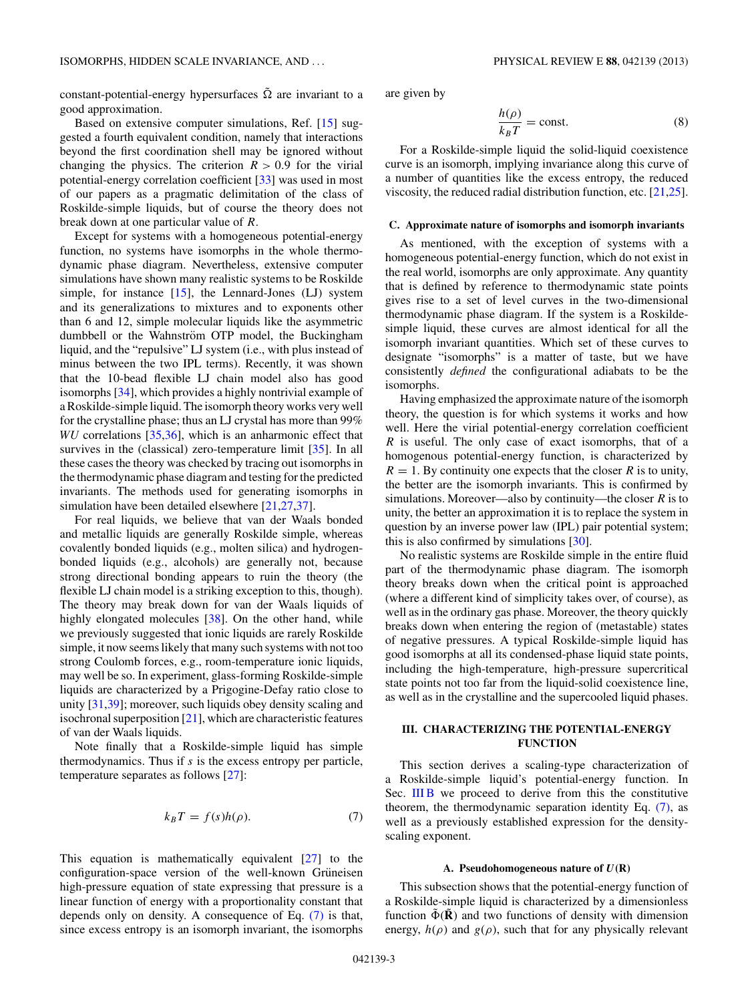<span id="page-2-0"></span>constant-potential-energy hypersurfaces  $\tilde{\Omega}$  are invariant to a good approximation.

Based on extensive computer simulations, Ref. [\[15\]](#page-7-0) suggested a fourth equivalent condition, namely that interactions beyond the first coordination shell may be ignored without changing the physics. The criterion  $R > 0.9$  for the virial potential-energy correlation coefficient [\[33\]](#page-8-0) was used in most of our papers as a pragmatic delimitation of the class of Roskilde-simple liquids, but of course the theory does not break down at one particular value of *R*.

Except for systems with a homogeneous potential-energy function, no systems have isomorphs in the whole thermodynamic phase diagram. Nevertheless, extensive computer simulations have shown many realistic systems to be Roskilde simple, for instance  $[15]$ , the Lennard-Jones (LJ) system and its generalizations to mixtures and to exponents other than 6 and 12, simple molecular liquids like the asymmetric dumbbell or the Wahnström OTP model, the Buckingham liquid, and the "repulsive" LJ system (i.e., with plus instead of minus between the two IPL terms). Recently, it was shown that the 10-bead flexible LJ chain model also has good isomorphs [\[34\]](#page-8-0), which provides a highly nontrivial example of a Roskilde-simple liquid. The isomorph theory works very well for the crystalline phase; thus an LJ crystal has more than 99% *WU* correlations [\[35,36\]](#page-8-0), which is an anharmonic effect that survives in the (classical) zero-temperature limit [\[35\]](#page-8-0). In all these cases the theory was checked by tracing out isomorphs in the thermodynamic phase diagram and testing for the predicted invariants. The methods used for generating isomorphs in simulation have been detailed elsewhere [\[21,27,37\]](#page-8-0).

For real liquids, we believe that van der Waals bonded and metallic liquids are generally Roskilde simple, whereas covalently bonded liquids (e.g., molten silica) and hydrogenbonded liquids (e.g., alcohols) are generally not, because strong directional bonding appears to ruin the theory (the flexible LJ chain model is a striking exception to this, though). The theory may break down for van der Waals liquids of highly elongated molecules [\[38\]](#page-8-0). On the other hand, while we previously suggested that ionic liquids are rarely Roskilde simple, it now seems likely that many such systems with not too strong Coulomb forces, e.g., room-temperature ionic liquids, may well be so. In experiment, glass-forming Roskilde-simple liquids are characterized by a Prigogine-Defay ratio close to unity [\[31,39\]](#page-8-0); moreover, such liquids obey density scaling and isochronal superposition  $[21]$ , which are characteristic features of van der Waals liquids.

Note finally that a Roskilde-simple liquid has simple thermodynamics. Thus if *s* is the excess entropy per particle, temperature separates as follows [\[27\]](#page-8-0):

$$
k_B T = f(s)h(\rho). \tag{7}
$$

This equation is mathematically equivalent [\[27\]](#page-8-0) to the configuration-space version of the well-known Grüneisen high-pressure equation of state expressing that pressure is a linear function of energy with a proportionality constant that depends only on density. A consequence of Eq. (7) is that, since excess entropy is an isomorph invariant, the isomorphs

are given by

$$
\frac{h(\rho)}{k_B T} = \text{const.}\tag{8}
$$

For a Roskilde-simple liquid the solid-liquid coexistence curve is an isomorph, implying invariance along this curve of a number of quantities like the excess entropy, the reduced viscosity, the reduced radial distribution function, etc. [\[21,25\]](#page-8-0).

## **C. Approximate nature of isomorphs and isomorph invariants**

As mentioned, with the exception of systems with a homogeneous potential-energy function, which do not exist in the real world, isomorphs are only approximate. Any quantity that is defined by reference to thermodynamic state points gives rise to a set of level curves in the two-dimensional thermodynamic phase diagram. If the system is a Roskildesimple liquid, these curves are almost identical for all the isomorph invariant quantities. Which set of these curves to designate "isomorphs" is a matter of taste, but we have consistently *defined* the configurational adiabats to be the isomorphs.

Having emphasized the approximate nature of the isomorph theory, the question is for which systems it works and how well. Here the virial potential-energy correlation coefficient *R* is useful. The only case of exact isomorphs, that of a homogenous potential-energy function, is characterized by  $R = 1$ . By continuity one expects that the closer *R* is to unity, the better are the isomorph invariants. This is confirmed by simulations. Moreover—also by continuity—the closer *R* is to unity, the better an approximation it is to replace the system in question by an inverse power law (IPL) pair potential system; this is also confirmed by simulations  $[30]$ .

No realistic systems are Roskilde simple in the entire fluid part of the thermodynamic phase diagram. The isomorph theory breaks down when the critical point is approached (where a different kind of simplicity takes over, of course), as well as in the ordinary gas phase. Moreover, the theory quickly breaks down when entering the region of (metastable) states of negative pressures. A typical Roskilde-simple liquid has good isomorphs at all its condensed-phase liquid state points, including the high-temperature, high-pressure supercritical state points not too far from the liquid-solid coexistence line, as well as in the crystalline and the supercooled liquid phases.

# **III. CHARACTERIZING THE POTENTIAL-ENERGY FUNCTION**

This section derives a scaling-type characterization of a Roskilde-simple liquid's potential-energy function. In Sec. [III B](#page-4-0) we proceed to derive from this the constitutive theorem, the thermodynamic separation identity Eq. (7), as well as a previously established expression for the densityscaling exponent.

## **A. Pseudohomogeneous nature of** *U***(R)**

This subsection shows that the potential-energy function of a Roskilde-simple liquid is characterized by a dimensionless function  $\tilde{\Phi}(\tilde{\mathbf{R}})$  and two functions of density with dimension energy,  $h(\rho)$  and  $g(\rho)$ , such that for any physically relevant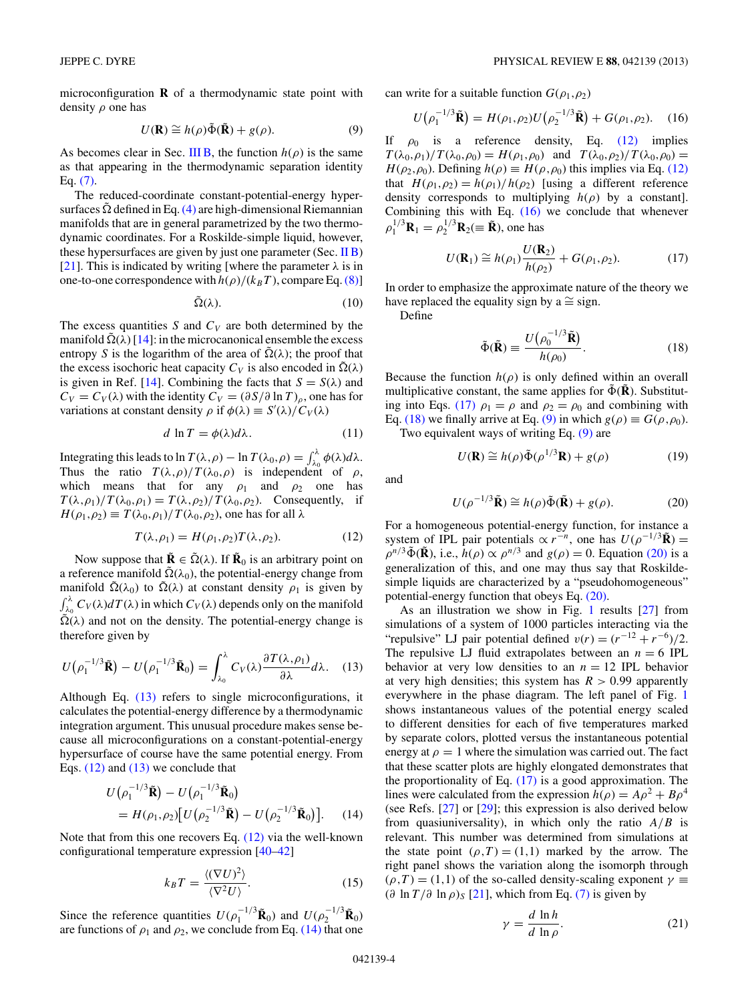<span id="page-3-0"></span>microconfiguration **R** of a thermodynamic state point with density *ρ* one has

$$
U(\mathbf{R}) \cong h(\rho)\tilde{\Phi}(\tilde{\mathbf{R}}) + g(\rho). \tag{9}
$$

As becomes clear in Sec. [III B,](#page-4-0) the function  $h(\rho)$  is the same as that appearing in the thermodynamic separation identity Eq. [\(7\).](#page-2-0)

The reduced-coordinate constant-potential-energy hypersurfaces  $\Omega$  defined in Eq. [\(4\)](#page-1-0) are high-dimensional Riemannian manifolds that are in general parametrized by the two thermodynamic coordinates. For a Roskilde-simple liquid, however, these hypersurfaces are given by just one parameter (Sec. [II B\)](#page-1-0) [\[21\]](#page-8-0). This is indicated by writing [where the parameter  $\lambda$  is in one-to-one correspondence with  $h(\rho)/(k_BT)$ , compare Eq. [\(8\)\]](#page-2-0)

$$
\tilde{\Omega}(\lambda). \tag{10}
$$

The excess quantities  $S$  and  $C_V$  are both determined by the manifold  $\Omega(\lambda)$  [\[14\]](#page-7-0): in the microcanonical ensemble the excess entropy *S* is the logarithm of the area of  $\tilde{\Omega}(\lambda)$ ; the proof that the excess isochoric heat capacity  $C_V$  is also encoded in  $\tilde{\Omega}(\lambda)$ is given in Ref. [\[14\]](#page-7-0). Combining the facts that  $S = S(\lambda)$  and  $C_V = C_V(\lambda)$  with the identity  $C_V = (\partial S/\partial \ln T)_\rho$ , one has for variations at constant density  $\rho$  if  $\phi(\lambda) \equiv S'(\lambda)/C_V(\lambda)$ 

$$
d \ln T = \phi(\lambda)d\lambda. \tag{11}
$$

Integrating this leads to  $\ln T(\lambda, \rho) - \ln T(\lambda_0, \rho) = \int_{\lambda_0}^{\lambda} \phi(\lambda) d\lambda$ . Thus the ratio  $T(\lambda, \rho)/T(\lambda_0, \rho)$  is independent of  $\rho$ , which means that for any  $\rho_1$  and  $\rho_2$  one has  $T(\lambda, \rho_1)/T(\lambda_0, \rho_1) = T(\lambda, \rho_2)/T(\lambda_0, \rho_2)$ . Consequently, if  $H(\rho_1, \rho_2) \equiv T(\lambda_0, \rho_1)/T(\lambda_0, \rho_2)$ , one has for all  $\lambda$ 

$$
T(\lambda, \rho_1) = H(\rho_1, \rho_2) T(\lambda, \rho_2).
$$
 (12)

Now suppose that  $\tilde{\mathbf{R}} \in \tilde{\Omega}(\lambda)$ . If  $\tilde{\mathbf{R}}_0$  is an arbitrary point on a reference manifold  $\tilde{\Omega}(\lambda_0)$ , the potential-energy change from manifold  $\tilde{\Omega}(\lambda_0)$  to  $\tilde{\Omega}(\lambda)$  at constant density  $\rho_1$  is given by  $\int_{\lambda_0}^{\lambda} C_V(\lambda) dT(\lambda)$  in which  $C_V(\lambda)$  depends only on the manifold  $\tilde{\Omega}(\lambda)$  and not on the density. The potential-energy change is therefore given by

$$
U(\rho_1^{-1/3}\tilde{\mathbf{R}}) - U(\rho_1^{-1/3}\tilde{\mathbf{R}}_0) = \int_{\lambda_0}^{\lambda} C_V(\lambda) \frac{\partial T(\lambda, \rho_1)}{\partial \lambda} d\lambda. \quad (13)
$$

Although Eq. (13) refers to single microconfigurations, it calculates the potential-energy difference by a thermodynamic integration argument. This unusual procedure makes sense because all microconfigurations on a constant-potential-energy hypersurface of course have the same potential energy. From Eqs. (12) and (13) we conclude that

$$
U(\rho_1^{-1/3}\tilde{\mathbf{R}}) - U(\rho_1^{-1/3}\tilde{\mathbf{R}}_0)
$$
  
=  $H(\rho_1, \rho_2) [U(\rho_2^{-1/3}\tilde{\mathbf{R}}) - U(\rho_2^{-1/3}\tilde{\mathbf{R}}_0)].$  (14)

Note that from this one recovers Eq.  $(12)$  via the well-known configurational temperature expression [\[40–42\]](#page-8-0)

$$
k_B T = \frac{\langle (\nabla U)^2 \rangle}{\langle \nabla^2 U \rangle}.
$$
 (15)

Since the reference quantities  $U(\rho_1^{-1/3}\mathbf{\tilde{R}}_0)$  and  $U(\rho_2^{-1/3}\mathbf{\tilde{R}}_0)$ are functions of  $\rho_1$  and  $\rho_2$ , we conclude from Eq. (14) that one can write for a suitable function  $G(\rho_1, \rho_2)$ 

$$
U(\rho_1^{-1/3}\tilde{\mathbf{R}}) = H(\rho_1, \rho_2)U(\rho_2^{-1/3}\tilde{\mathbf{R}}) + G(\rho_1, \rho_2). \quad (16)
$$

If  $\rho_0$  is a reference density, Eq. (12) implies  $T(\lambda_0, \rho_1)/T(\lambda_0, \rho_0) = H(\rho_1, \rho_0)$  and  $T(\lambda_0, \rho_2)/T(\lambda_0, \rho_0) =$ *H*( $\rho$ <sub>2</sub>, $\rho$ <sub>0</sub>). Defining  $h(\rho) \equiv H(\rho, \rho_0)$  this implies via Eq. (12) that  $H(\rho_1, \rho_2) = h(\rho_1)/h(\rho_2)$  [using a different reference density corresponds to multiplying *h*(*ρ*) by a constant]. Combining this with Eq. (16) we conclude that whenever  $\rho_1^{1/3}$ **R**<sub>1</sub> =  $\rho_2^{1/3}$ **R**<sub>2</sub>( $\equiv \tilde{\mathbf{R}}$ ), one has

$$
U(\mathbf{R}_1) \cong h(\rho_1) \frac{U(\mathbf{R}_2)}{h(\rho_2)} + G(\rho_1, \rho_2). \tag{17}
$$

In order to emphasize the approximate nature of the theory we have replaced the equality sign by a  $\cong$  sign.

Define

$$
\tilde{\Phi}(\tilde{\mathbf{R}}) \equiv \frac{U(\rho_0^{-1/3}\tilde{\mathbf{R}})}{h(\rho_0)}.
$$
\n(18)

Because the function  $h(\rho)$  is only defined within an overall multiplicative constant, the same applies for  $\tilde{\Phi}(\tilde{\mathbf{R}})$ . Substituting into Eqs. (17)  $\rho_1 = \rho$  and  $\rho_2 = \rho_0$  and combining with Eq. (18) we finally arrive at Eq. (9) in which  $g(\rho) \equiv G(\rho, \rho_0)$ . Two equivalent ways of writing Eq. (9) are

$$
U(\mathbf{R}) \cong h(\rho)\tilde{\Phi}(\rho^{1/3}\mathbf{R}) + g(\rho) \tag{19}
$$

and

$$
U(\rho^{-1/3}\tilde{\mathbf{R}}) \cong h(\rho)\tilde{\Phi}(\tilde{\mathbf{R}}) + g(\rho). \tag{20}
$$

For a homogeneous potential-energy function, for instance a system of IPL pair potentials  $\propto r^{-n}$ , one has  $U(\rho^{-1/3}\tilde{\mathbf{R}})$  =  $\rho^{n/3} \tilde{\Phi}(\tilde{\mathbf{R}})$ , i.e.,  $h(\rho) \propto \rho^{n/3}$  and  $g(\rho) = 0$ . Equation (20) is a generalization of this, and one may thus say that Roskildesimple liquids are characterized by a "pseudohomogeneous" potential-energy function that obeys Eq. (20).

As an illustration we show in Fig. [1](#page-4-0) results [\[27\]](#page-8-0) from simulations of a system of 1000 particles interacting via the "repulsive" LJ pair potential defined  $v(r) = (r^{-12} + r^{-6})/2$ . The repulsive LJ fluid extrapolates between an  $n = 6$  IPL behavior at very low densities to an  $n = 12$  IPL behavior at very high densities; this system has  $R > 0.99$  apparently everywhere in the phase diagram. The left panel of Fig. [1](#page-4-0) shows instantaneous values of the potential energy scaled to different densities for each of five temperatures marked by separate colors, plotted versus the instantaneous potential energy at  $\rho = 1$  where the simulation was carried out. The fact that these scatter plots are highly elongated demonstrates that the proportionality of Eq. (17) is a good approximation. The lines were calculated from the expression  $h(\rho) = A\rho^2 + B\rho^4$ (see Refs. [\[27\]](#page-8-0) or [\[29\]](#page-8-0); this expression is also derived below from quasiuniversality), in which only the ratio  $A/B$  is relevant. This number was determined from simulations at the state point  $(\rho, T) = (1, 1)$  marked by the arrow. The right panel shows the variation along the isomorph through  $(\rho, T) = (1, 1)$  of the so-called density-scaling exponent  $\gamma \equiv$  $(∂ \ln T/∂ \ln ρ)_S$  [\[21\]](#page-8-0), which from Eq. [\(7\)](#page-2-0) is given by

$$
\gamma = \frac{d \ln h}{d \ln \rho}.\tag{21}
$$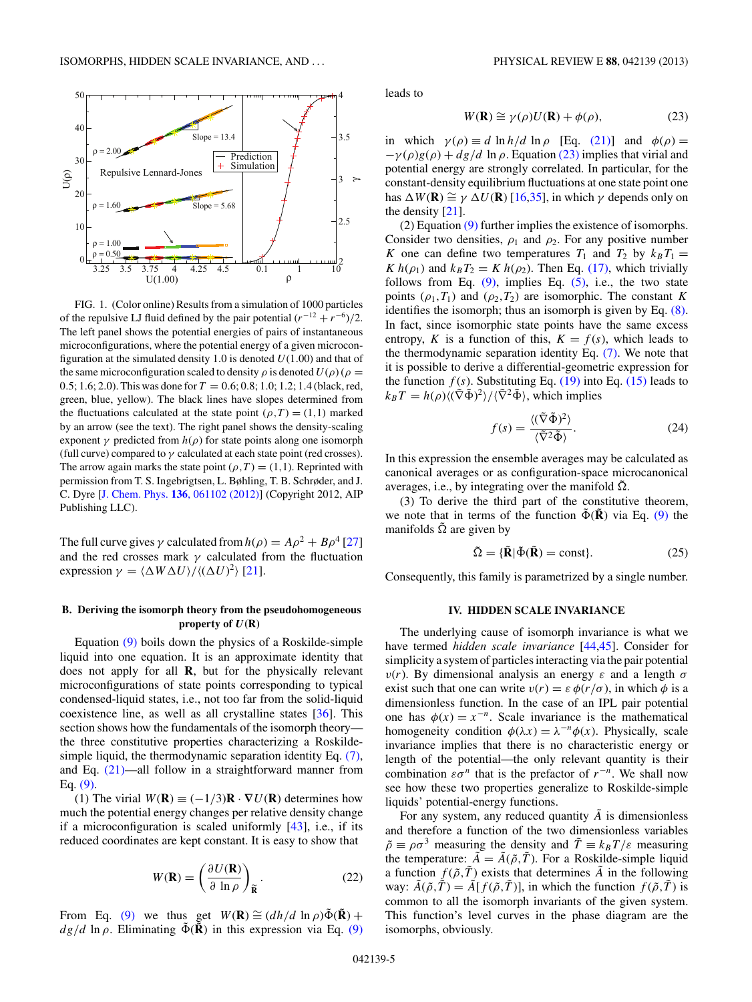<span id="page-4-0"></span>

FIG. 1. (Color online) Results from a simulation of 1000 particles of the repulsive LJ fluid defined by the pair potential  $(r^{-12} + r^{-6})/2$ . The left panel shows the potential energies of pairs of instantaneous microconfigurations, where the potential energy of a given microconfiguration at the simulated density 1*.*0 is denoted *U*(1*.*00) and that of the same microconfiguration scaled to density  $\rho$  is denoted  $U(\rho)(\rho =$ 0*.*5; 1*.*6; 2*.*0). This was done for *T* = 0*.*6; 0*.*8; 1*.*0; 1*.*2; 1*.*4 (black, red, green, blue, yellow). The black lines have slopes determined from the fluctuations calculated at the state point  $(\rho, T) = (1, 1)$  marked by an arrow (see the text). The right panel shows the density-scaling exponent  $\gamma$  predicted from  $h(\rho)$  for state points along one isomorph (full curve) compared to  $\gamma$  calculated at each state point (red crosses). The arrow again marks the state point  $(\rho, T) = (1, 1)$ . Reprinted with permission from T. S. Ingebrigtsen, L. Bøhling, T. B. Schrøder, and J. C. Dyre [J. Chem. Phys. **136**[, 061102 \(2012\)\]](http://dx.doi.org/10.1063/1.3685804) (Copyright 2012, AIP Publishing LLC).

The full curve gives  $\gamma$  calculated from  $h(\rho) = A\rho^2 + B\rho^4$  [\[27\]](#page-8-0) and the red crosses mark  $\gamma$  calculated from the fluctuation expression  $\gamma = \langle \Delta W \Delta U \rangle / \langle (\Delta U)^2 \rangle$  [\[21\]](#page-8-0).

## **B. Deriving the isomorph theory from the pseudohomogeneous property of** *U***(R)**

Equation [\(9\)](#page-3-0) boils down the physics of a Roskilde-simple liquid into one equation. It is an approximate identity that does not apply for all **R**, but for the physically relevant microconfigurations of state points corresponding to typical condensed-liquid states, i.e., not too far from the solid-liquid coexistence line, as well as all crystalline states [\[36\]](#page-8-0). This section shows how the fundamentals of the isomorph theory the three constitutive properties characterizing a Roskildesimple liquid, the thermodynamic separation identity Eq. [\(7\),](#page-2-0) and Eq. [\(21\)—](#page-3-0)all follow in a straightforward manner from Eq. [\(9\).](#page-3-0)

(1) The virial  $W(\mathbf{R}) \equiv (-1/3)\mathbf{R} \cdot \nabla U(\mathbf{R})$  determines how much the potential energy changes per relative density change if a microconfiguration is scaled uniformly [\[43\]](#page-8-0), i.e., if its reduced coordinates are kept constant. It is easy to show that

$$
W(\mathbf{R}) = \left(\frac{\partial U(\mathbf{R})}{\partial \ln \rho}\right)_{\widetilde{\mathbf{R}}}.
$$
 (22)

From Eq. [\(9\)](#page-3-0) we thus get  $W(\mathbf{R}) \cong (dh/d \ln \rho) \tilde{\Phi}(\tilde{\mathbf{R}}) +$  $dg/d \ln \rho$ . Eliminating  $\tilde{\Phi}(\tilde{\mathbf{R}})$  in this expression via Eq. [\(9\)](#page-3-0) leads to

$$
W(\mathbf{R}) \cong \gamma(\rho)U(\mathbf{R}) + \phi(\rho), \tag{23}
$$

in which  $\gamma(\rho) \equiv d \ln h/d \ln \rho$  [Eq. [\(21\)\]](#page-3-0) and  $\phi(\rho) =$  $-\gamma(\rho)g(\rho) + dg/d \ln \rho$ . Equation (23) implies that virial and potential energy are strongly correlated. In particular, for the constant-density equilibrium fluctuations at one state point one has  $\Delta W(\mathbf{R}) \cong \gamma \Delta U(\mathbf{R})$  [\[16](#page-7-0)[,35\]](#page-8-0), in which  $\gamma$  depends only on the density [\[21\]](#page-8-0).

(2) Equation [\(9\)](#page-3-0) further implies the existence of isomorphs. Consider two densities,  $\rho_1$  and  $\rho_2$ . For any positive number *K* one can define two temperatures  $T_1$  and  $T_2$  by  $k_B T_1 =$ *K*  $h(\rho_1)$  and  $k_B T_2 = K h(\rho_2)$ . Then Eq. [\(17\),](#page-3-0) which trivially follows from Eq.  $(9)$ , implies Eq.  $(5)$ , i.e., the two state points  $(\rho_1, T_1)$  and  $(\rho_2, T_2)$  are isomorphic. The constant *K* identifies the isomorph; thus an isomorph is given by Eq. [\(8\).](#page-2-0) In fact, since isomorphic state points have the same excess entropy, *K* is a function of this,  $K = f(s)$ , which leads to the thermodynamic separation identity Eq. [\(7\).](#page-2-0) We note that it is possible to derive a differential-geometric expression for the function  $f(s)$ . Substituting Eq. [\(19\)](#page-3-0) into Eq. [\(15\)](#page-3-0) leads to  $k_B T = h(\rho) \langle (\tilde{\nabla} \tilde{\Phi})^2 \rangle / \langle \tilde{\nabla}^2 \tilde{\Phi} \rangle$ , which implies

$$
f(s) = \frac{\langle (\tilde{\nabla}\tilde{\Phi})^2 \rangle}{\langle \tilde{\nabla}^2 \tilde{\Phi} \rangle}.
$$
 (24)

In this expression the ensemble averages may be calculated as canonical averages or as configuration-space microcanonical averages, i.e., by integrating over the manifold  $\Omega$ .

(3) To derive the third part of the constitutive theorem, we note that in terms of the function  $\tilde{\Phi}(\tilde{\mathbf{R}})$  via Eq. [\(9\)](#page-3-0) the manifolds  $\Omega$  are given by

$$
\tilde{\Omega} = \{ \tilde{\mathbf{R}} | \tilde{\Phi}(\tilde{\mathbf{R}}) = \text{const} \}.
$$
 (25)

Consequently, this family is parametrized by a single number.

## **IV. HIDDEN SCALE INVARIANCE**

The underlying cause of isomorph invariance is what we have termed *hidden scale invariance* [\[44,45\]](#page-8-0). Consider for simplicity a system of particles interacting via the pair potential *v*(*r*). By dimensional analysis an energy  $ε$  and a length  $σ$ exist such that one can write  $v(r) = \varepsilon \phi(r/\sigma)$ , in which  $\phi$  is a dimensionless function. In the case of an IPL pair potential one has  $\phi(x) = x^{-n}$ . Scale invariance is the mathematical homogeneity condition  $\phi(\lambda x) = \lambda^{-n} \phi(x)$ . Physically, scale invariance implies that there is no characteristic energy or length of the potential—the only relevant quantity is their combination  $\varepsilon \sigma^n$  that is the prefactor of  $r^{-n}$ . We shall now see how these two properties generalize to Roskilde-simple liquids' potential-energy functions.

For any system, any reduced quantity  $\tilde{A}$  is dimensionless and therefore a function of the two dimensionless variables  $\tilde{\rho} \equiv \rho \sigma^3$  measuring the density and  $\tilde{T} \equiv k_B T / \varepsilon$  measuring the temperature:  $\tilde{A} = \tilde{A}(\tilde{\rho}, \tilde{T})$ . For a Roskilde-simple liquid a function  $f(\tilde{\rho}, \tilde{T})$  exists that determines  $\tilde{A}$  in the following way:  $\tilde{A}(\tilde{\rho}, \tilde{T}) = \tilde{A}[f(\tilde{\rho}, \tilde{T})]$ , in which the function  $f(\tilde{\rho}, \tilde{T})$  is common to all the isomorph invariants of the given system. This function's level curves in the phase diagram are the isomorphs, obviously.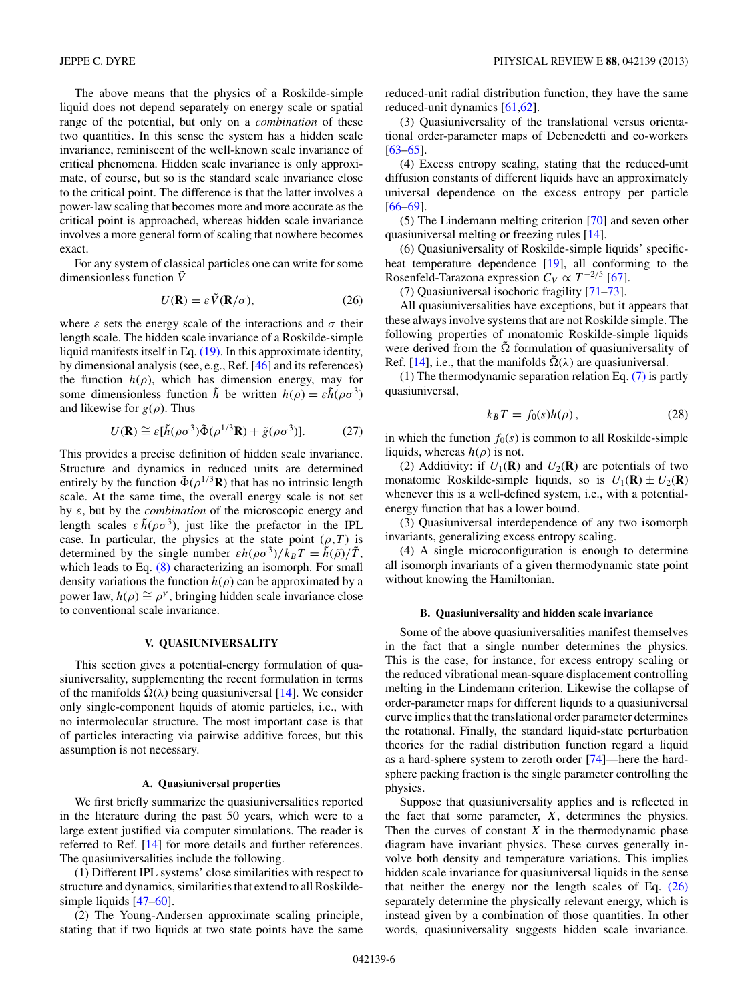<span id="page-5-0"></span>The above means that the physics of a Roskilde-simple liquid does not depend separately on energy scale or spatial range of the potential, but only on a *combination* of these two quantities. In this sense the system has a hidden scale invariance, reminiscent of the well-known scale invariance of critical phenomena. Hidden scale invariance is only approximate, of course, but so is the standard scale invariance close to the critical point. The difference is that the latter involves a power-law scaling that becomes more and more accurate as the critical point is approached, whereas hidden scale invariance involves a more general form of scaling that nowhere becomes exact.

For any system of classical particles one can write for some dimensionless function  $\tilde{V}$ 

$$
U(\mathbf{R}) = \varepsilon \tilde{V}(\mathbf{R}/\sigma),\tag{26}
$$

where  $\varepsilon$  sets the energy scale of the interactions and  $\sigma$  their length scale. The hidden scale invariance of a Roskilde-simple liquid manifests itself in Eq. [\(19\).](#page-3-0) In this approximate identity, by dimensional analysis (see, e.g., Ref. [\[46\]](#page-8-0) and its references) the function  $h(\rho)$ , which has dimension energy, may for some dimensionless function  $\tilde{h}$  be written  $h(\rho) = \varepsilon \tilde{h}(\rho \sigma^3)$ and likewise for  $g(\rho)$ . Thus

$$
U(\mathbf{R}) \cong \varepsilon [\tilde{h}(\rho \sigma^3) \tilde{\Phi}(\rho^{1/3} \mathbf{R}) + \tilde{g}(\rho \sigma^3)]. \tag{27}
$$

This provides a precise definition of hidden scale invariance. Structure and dynamics in reduced units are determined entirely by the function  $\tilde{\Phi}(\rho^{1/3}R)$  that has no intrinsic length scale. At the same time, the overall energy scale is not set by *ε*, but by the *combination* of the microscopic energy and length scales  $\epsilon \tilde{h}(\rho \sigma^3)$ , just like the prefactor in the IPL case. In particular, the physics at the state point  $(\rho, T)$  is determined by the single number  $\varepsilon h(\rho \sigma^3)/k_B T = \tilde{h}(\tilde{\rho})/\tilde{T}$ , which leads to Eq.  $(8)$  characterizing an isomorph. For small density variations the function  $h(\rho)$  can be approximated by a power law,  $h(\rho) \cong \rho^{\gamma}$ , bringing hidden scale invariance close to conventional scale invariance.

## **V. QUASIUNIVERSALITY**

This section gives a potential-energy formulation of quasiuniversality, supplementing the recent formulation in terms of the manifolds  $\tilde{\Omega}(\lambda)$  being quasiuniversal [\[14\]](#page-7-0). We consider only single-component liquids of atomic particles, i.e., with no intermolecular structure. The most important case is that of particles interacting via pairwise additive forces, but this assumption is not necessary.

#### **A. Quasiuniversal properties**

We first briefly summarize the quasiuniversalities reported in the literature during the past 50 years, which were to a large extent justified via computer simulations. The reader is referred to Ref. [\[14\]](#page-7-0) for more details and further references. The quasiuniversalities include the following.

(1) Different IPL systems' close similarities with respect to structure and dynamics, similarities that extend to all Roskildesimple liquids [\[47–60\]](#page-8-0).

(2) The Young-Andersen approximate scaling principle, stating that if two liquids at two state points have the same reduced-unit radial distribution function, they have the same reduced-unit dynamics [\[61,62\]](#page-8-0).

(3) Quasiuniversality of the translational versus orientational order-parameter maps of Debenedetti and co-workers [\[63–65\]](#page-8-0).

(4) Excess entropy scaling, stating that the reduced-unit diffusion constants of different liquids have an approximately universal dependence on the excess entropy per particle [\[66–69\]](#page-8-0).

(5) The Lindemann melting criterion [\[70\]](#page-8-0) and seven other quasiuniversal melting or freezing rules [\[14\]](#page-7-0).

(6) Quasiuniversality of Roskilde-simple liquids' specificheat temperature dependence [\[19\]](#page-8-0), all conforming to the Rosenfeld-Tarazona expression  $C_V \propto T^{-2/5}$  [\[67\]](#page-8-0).

(7) Quasiuniversal isochoric fragility [\[71–73\]](#page-8-0).

All quasiuniversalities have exceptions, but it appears that these always involve systems that are not Roskilde simple. The following properties of monatomic Roskilde-simple liquids were derived from the  $\tilde{\Omega}$  formulation of quasiuniversality of Ref. [\[14\]](#page-7-0), i.e., that the manifolds  $\Omega(\lambda)$  are quasiuniversal.

(1) The thermodynamic separation relation Eq. [\(7\)](#page-2-0) is partly quasiuniversal,

$$
k_B T = f_0(s)h(\rho), \qquad (28)
$$

in which the function  $f_0(s)$  is common to all Roskilde-simple liquids, whereas  $h(\rho)$  is not.

(2) Additivity: if  $U_1(\mathbf{R})$  and  $U_2(\mathbf{R})$  are potentials of two monatomic Roskilde-simple liquids, so is  $U_1(\mathbf{R}) \pm U_2(\mathbf{R})$ whenever this is a well-defined system, i.e., with a potentialenergy function that has a lower bound.

(3) Quasiuniversal interdependence of any two isomorph invariants, generalizing excess entropy scaling.

(4) A single microconfiguration is enough to determine all isomorph invariants of a given thermodynamic state point without knowing the Hamiltonian.

#### **B. Quasiuniversality and hidden scale invariance**

Some of the above quasiuniversalities manifest themselves in the fact that a single number determines the physics. This is the case, for instance, for excess entropy scaling or the reduced vibrational mean-square displacement controlling melting in the Lindemann criterion. Likewise the collapse of order-parameter maps for different liquids to a quasiuniversal curve implies that the translational order parameter determines the rotational. Finally, the standard liquid-state perturbation theories for the radial distribution function regard a liquid as a hard-sphere system to zeroth order [\[74\]](#page-8-0)—here the hardsphere packing fraction is the single parameter controlling the physics.

Suppose that quasiuniversality applies and is reflected in the fact that some parameter, *X*, determines the physics. Then the curves of constant *X* in the thermodynamic phase diagram have invariant physics. These curves generally involve both density and temperature variations. This implies hidden scale invariance for quasiuniversal liquids in the sense that neither the energy nor the length scales of Eq. (26) separately determine the physically relevant energy, which is instead given by a combination of those quantities. In other words, quasiuniversality suggests hidden scale invariance.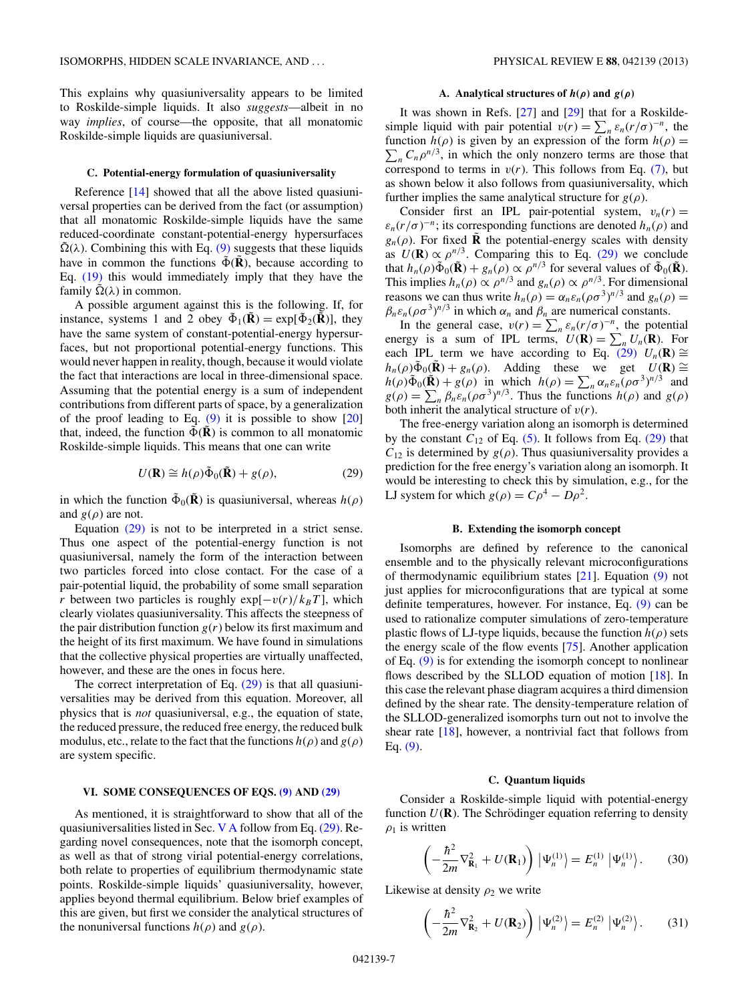<span id="page-6-0"></span>This explains why quasiuniversality appears to be limited to Roskilde-simple liquids. It also *suggests*—albeit in no way *implies*, of course—the opposite, that all monatomic Roskilde-simple liquids are quasiuniversal.

#### **C. Potential-energy formulation of quasiuniversality**

Reference [\[14\]](#page-7-0) showed that all the above listed quasiuniversal properties can be derived from the fact (or assumption) that all monatomic Roskilde-simple liquids have the same reduced-coordinate constant-potential-energy hypersurfaces  $\tilde{\Omega}(\lambda)$ . Combining this with Eq. [\(9\)](#page-3-0) suggests that these liquids have in common the functions  $\Phi(\mathbf{R})$ , because according to Eq. [\(19\)](#page-3-0) this would immediately imply that they have the family  $\tilde{\Omega}(\lambda)$  in common.

A possible argument against this is the following. If, for instance, systems 1 and 2 obey  $\Phi_1(\mathbf{R}) = \exp[\Phi_2(\mathbf{R})]$ , they have the same system of constant-potential-energy hypersurfaces, but not proportional potential-energy functions. This would never happen in reality, though, because it would violate the fact that interactions are local in three-dimensional space. Assuming that the potential energy is a sum of independent contributions from different parts of space, by a generalization of the proof leading to Eq.  $(9)$  it is possible to show  $[20]$ that, indeed, the function  $\tilde{\Phi}(\tilde{\mathbf{R}})$  is common to all monatomic Roskilde-simple liquids. This means that one can write

$$
U(\mathbf{R}) \cong h(\rho)\tilde{\Phi}_0(\tilde{\mathbf{R}}) + g(\rho), \tag{29}
$$

in which the function  $\tilde{\Phi}_0(\tilde{\mathbf{R}})$  is quasiuniversal, whereas  $h(\rho)$ and  $g(\rho)$  are not.

Equation (29) is not to be interpreted in a strict sense. Thus one aspect of the potential-energy function is not quasiuniversal, namely the form of the interaction between two particles forced into close contact. For the case of a pair-potential liquid, the probability of some small separation *r* between two particles is roughly  $exp[-v(r)/k_BT]$ , which clearly violates quasiuniversality. This affects the steepness of the pair distribution function  $g(r)$  below its first maximum and the height of its first maximum. We have found in simulations that the collective physical properties are virtually unaffected, however, and these are the ones in focus here.

The correct interpretation of Eq. (29) is that all quasiuniversalities may be derived from this equation. Moreover, all physics that is *not* quasiuniversal, e.g., the equation of state, the reduced pressure, the reduced free energy, the reduced bulk modulus, etc., relate to the fact that the functions  $h(\rho)$  and  $g(\rho)$ are system specific.

## **VI. SOME CONSEQUENCES OF EQS. [\(9\)](#page-3-0) AND (29)**

As mentioned, it is straightforward to show that all of the quasiuniversalities listed in Sec. [V A](#page-5-0) follow from Eq. (29). Regarding novel consequences, note that the isomorph concept, as well as that of strong virial potential-energy correlations, both relate to properties of equilibrium thermodynamic state points. Roskilde-simple liquids' quasiuniversality, however, applies beyond thermal equilibrium. Below brief examples of this are given, but first we consider the analytical structures of the nonuniversal functions  $h(\rho)$  and  $g(\rho)$ .

#### **A.** Analytical structures of  $h(\rho)$  and  $g(\rho)$

It was shown in Refs. [\[27\]](#page-8-0) and [\[29\]](#page-8-0) that for a Roskildesimple liquid with pair potential  $v(r) = \sum_{n} \varepsilon_n (r/\sigma)^{-n}$ , the function  $h(\rho)$  is given by an expression of the form  $h(\rho)$  =  $\sum_{n} C_n \rho^{n/3}$ , in which the only nonzero terms are those that correspond to terms in  $v(r)$ . This follows from Eq. [\(7\),](#page-2-0) but as shown below it also follows from quasiuniversality, which further implies the same analytical structure for  $g(\rho)$ .

Consider first an IPL pair-potential system,  $v_n(r) =$  $\varepsilon_n(r/\sigma)^{-n}$ ; its corresponding functions are denoted  $h_n(\rho)$  and  $g_n(\rho)$ . For fixed **R** the potential-energy scales with density as  $U(\mathbf{R}) \propto \rho^{n/3}$ . Comparing this to Eq. (29) we conclude that  $h_n(\rho)\tilde{\Phi}_0(\tilde{\mathbf{R}}) + g_n(\rho) \propto \rho^{n/3}$  for several values of  $\tilde{\Phi}_0(\tilde{\mathbf{R}})$ . This implies  $h_n(\rho) \propto \rho^{n/3}$  and  $g_n(\rho) \propto \rho^{n/3}$ . For dimensional reasons we can thus write  $h_n(\rho) = \alpha_n \varepsilon_n (\rho \sigma^3)^{n/3}$  and  $g_n(\rho) =$  $\beta_n \varepsilon_n (\rho \sigma^3)^{n/3}$  in which  $\alpha_n$  and  $\beta_n$  are numerical constants.

In the general case,  $v(r) = \sum_{n} \varepsilon_n (r/\sigma)^{-n}$ , the potential energy is a sum of IPL terms,  $U(\mathbf{R}) = \sum_n U_n(\mathbf{R})$ . For each IPL term we have according to Eq. (29)  $U_n(\mathbf{R}) \cong$  $h_n(\rho)\tilde{\Phi}_0(\tilde{\mathbf{R}}) + g_n(\rho)$ . Adding these we get  $U(\mathbf{R}) \cong$  $h(\rho)\tilde{\Phi}_0(\tilde{\mathbf{R}}) + g(\rho)$  in which  $h(\rho) = \sum_n \alpha_n \varepsilon_n (\rho \sigma^3)^{n/3}$  and  $g(\rho) = \sum_{n} \beta_n \varepsilon_n (\rho \sigma^3)^{n/3}$ . Thus the functions  $h(\rho)$  and  $g(\rho)$ both inherit the analytical structure of  $v(r)$ .

The free-energy variation along an isomorph is determined by the constant  $C_{12}$  of Eq. [\(5\).](#page-1-0) It follows from Eq. (29) that  $C_{12}$  is determined by  $g(\rho)$ . Thus quasiuniversality provides a prediction for the free energy's variation along an isomorph. It would be interesting to check this by simulation, e.g., for the LJ system for which  $g(\rho) = C\rho^4 - D\rho^2$ .

# **B. Extending the isomorph concept**

Isomorphs are defined by reference to the canonical ensemble and to the physically relevant microconfigurations of thermodynamic equilibrium states [\[21\]](#page-8-0). Equation [\(9\)](#page-3-0) not just applies for microconfigurations that are typical at some definite temperatures, however. For instance, Eq. [\(9\)](#page-3-0) can be used to rationalize computer simulations of zero-temperature plastic flows of LJ-type liquids, because the function  $h(\rho)$  sets the energy scale of the flow events [\[75\]](#page-8-0). Another application of Eq.  $(9)$  is for extending the isomorph concept to nonlinear flows described by the SLLOD equation of motion [\[18\]](#page-7-0). In this case the relevant phase diagram acquires a third dimension defined by the shear rate. The density-temperature relation of the SLLOD-generalized isomorphs turn out not to involve the shear rate  $[18]$ , however, a nontrivial fact that follows from Eq. [\(9\).](#page-3-0)

#### **C. Quantum liquids**

Consider a Roskilde-simple liquid with potential-energy function  $U(\mathbf{R})$ . The Schrödinger equation referring to density  $\rho_1$  is written

$$
\left(-\frac{\hbar^2}{2m}\nabla_{\mathbf{R}_1}^2 + U(\mathbf{R}_1)\right) |\Psi_n^{(1)}\rangle = E_n^{(1)} |\Psi_n^{(1)}\rangle. \tag{30}
$$

Likewise at density  $\rho_2$  we write

$$
\left(-\frac{\hbar^2}{2m}\nabla_{\mathbf{R}_2}^2 + U(\mathbf{R}_2)\right) |\Psi_n^{(2)}\rangle = E_n^{(2)} |\Psi_n^{(2)}\rangle. \tag{31}
$$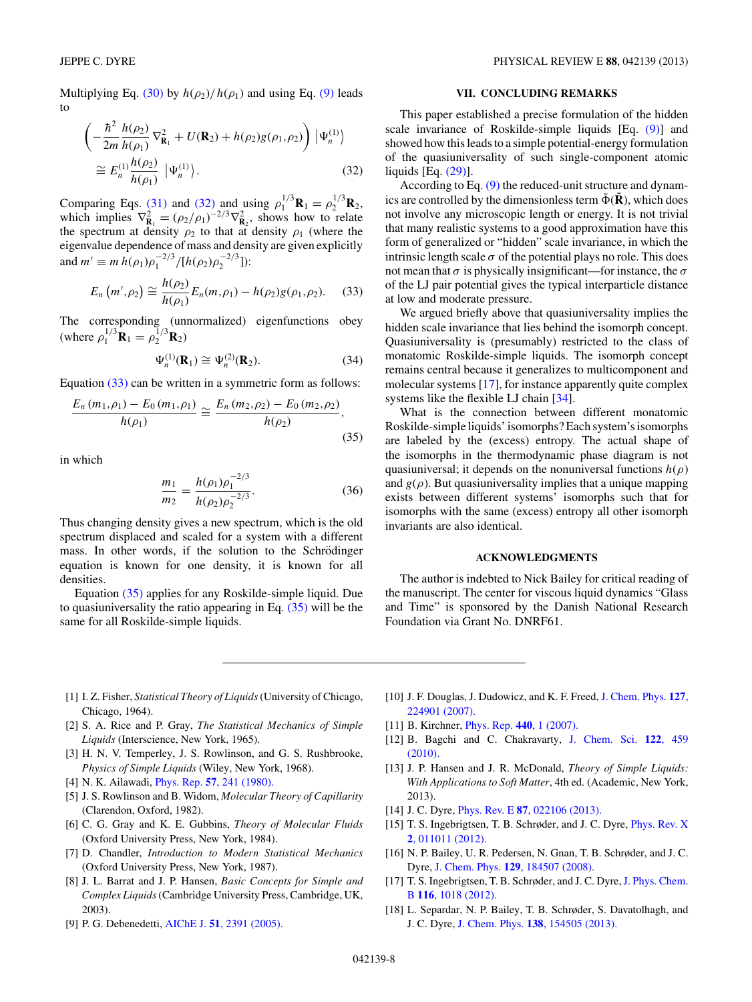<span id="page-7-0"></span>Multiplying Eq. [\(30\)](#page-6-0) by  $h(\rho_2)/h(\rho_1)$  and using Eq. [\(9\)](#page-3-0) leads to

$$
\begin{aligned}\n&\left(-\frac{\hbar^2}{2m}\frac{h(\rho_2)}{h(\rho_1)}\nabla_{\mathbf{R}_1}^2 + U(\mathbf{R}_2) + h(\rho_2)g(\rho_1, \rho_2)\right) |\Psi_n^{(1)}\rangle \\
&\cong E_n^{(1)} \frac{h(\rho_2)}{h(\rho_1)} |\Psi_n^{(1)}\rangle.\n\end{aligned} \tag{32}
$$

Comparing Eqs. [\(31\)](#page-6-0) and (32) and using  $\rho_1^{1/3}$ **R**<sub>1</sub> =  $\rho_2^{1/3}$ **R**<sub>2</sub>, which implies  $\nabla_{\mathbf{R}_1}^2 = (\rho_2/\rho_1)^{-2/3} \nabla_{\mathbf{R}_2}^2$ , shows how to relate the spectrum at density  $\rho_2$  to that at density  $\rho_1$  (where the eigenvalue dependence of mass and density are given explicitly and  $m' \equiv m \, h(\rho_1) \rho_1^{-2/3} / [h(\rho_2) \rho_2^{-2/3}]$ :

$$
E_n(m', \rho_2) \cong \frac{h(\rho_2)}{h(\rho_1)} E_n(m, \rho_1) - h(\rho_2)g(\rho_1, \rho_2). \tag{33}
$$

The corresponding (unnormalized) eigenfunctions obey (where  $\rho_1^{1/3}$ **R**<sub>1</sub> =  $\rho_2^{1/3}$ **R**<sub>2</sub>)

$$
\Psi_n^{(1)}(\mathbf{R}_1) \cong \Psi_n^{(2)}(\mathbf{R}_2). \tag{34}
$$

Equation (33) can be written in a symmetric form as follows:

$$
\frac{E_n(m_1,\rho_1) - E_0(m_1,\rho_1)}{h(\rho_1)} \cong \frac{E_n(m_2,\rho_2) - E_0(m_2,\rho_2)}{h(\rho_2)},
$$
\n(35)

in which

$$
\frac{m_1}{m_2} = \frac{h(\rho_1)\rho_1^{-2/3}}{h(\rho_2)\rho_2^{-2/3}}.\tag{36}
$$

Thus changing density gives a new spectrum, which is the old spectrum displaced and scaled for a system with a different mass. In other words, if the solution to the Schrödinger equation is known for one density, it is known for all densities.

Equation (35) applies for any Roskilde-simple liquid. Due to quasiuniversality the ratio appearing in Eq.  $(35)$  will be the same for all Roskilde-simple liquids.

## **VII. CONCLUDING REMARKS**

This paper established a precise formulation of the hidden scale invariance of Roskilde-simple liquids  $[Eq. (9)]$  $[Eq. (9)]$  and showed how this leads to a simple potential-energy formulation of the quasiuniversality of such single-component atomic liquids [Eq. [\(29\)\]](#page-6-0).

According to Eq. [\(9\)](#page-3-0) the reduced-unit structure and dynamics are controlled by the dimensionless term  $\tilde{\Phi}(\tilde{\mathbf{R}})$ , which does not involve any microscopic length or energy. It is not trivial that many realistic systems to a good approximation have this form of generalized or "hidden" scale invariance, in which the intrinsic length scale  $\sigma$  of the potential plays no role. This does not mean that *σ* is physically insignificant—for instance, the *σ* of the LJ pair potential gives the typical interparticle distance at low and moderate pressure.

We argued briefly above that quasiuniversality implies the hidden scale invariance that lies behind the isomorph concept. Quasiuniversality is (presumably) restricted to the class of monatomic Roskilde-simple liquids. The isomorph concept remains central because it generalizes to multicomponent and molecular systems [17], for instance apparently quite complex systems like the flexible LJ chain [\[34\]](#page-8-0).

What is the connection between different monatomic Roskilde-simple liquids' isomorphs? Each system's isomorphs are labeled by the (excess) entropy. The actual shape of the isomorphs in the thermodynamic phase diagram is not quasiuniversal; it depends on the nonuniversal functions  $h(\rho)$ and  $g(\rho)$ . But quasiuniversality implies that a unique mapping exists between different systems' isomorphs such that for isomorphs with the same (excess) entropy all other isomorph invariants are also identical.

#### **ACKNOWLEDGMENTS**

The author is indebted to Nick Bailey for critical reading of the manuscript. The center for viscous liquid dynamics "Glass and Time" is sponsored by the Danish National Research Foundation via Grant No. DNRF61.

- [1] I. Z. Fisher, *Statistical Theory of Liquids*(University of Chicago, Chicago, 1964).
- [2] S. A. Rice and P. Gray, *The Statistical Mechanics of Simple Liquids* (Interscience, New York, 1965).
- [3] H. N. V. Temperley, J. S. Rowlinson, and G. S. Rushbrooke, *Physics of Simple Liquids* (Wiley, New York, 1968).
- [4] N. K. Ailawadi, Phys. Rep. **57**[, 241 \(1980\).](http://dx.doi.org/10.1016/0370-1573(80)90063-0)
- [5] J. S. Rowlinson and B. Widom, *Molecular Theory of Capillarity* (Clarendon, Oxford, 1982).
- [6] C. G. Gray and K. E. Gubbins, *Theory of Molecular Fluids* (Oxford University Press, New York, 1984).
- [7] D. Chandler, *Introduction to Modern Statistical Mechanics* (Oxford University Press, New York, 1987).
- [8] J. L. Barrat and J. P. Hansen, *Basic Concepts for Simple and Complex Liquids*(Cambridge University Press, Cambridge, UK, 2003).
- [9] P. G. Debenedetti, AIChE J. **51**[, 2391 \(2005\).](http://dx.doi.org/10.1002/aic.10657)
- [10] J. F. Douglas, J. Dudowicz, and K. F. Freed, [J. Chem. Phys.](http://dx.doi.org/10.1063/1.2785187) **127**, [224901 \(2007\).](http://dx.doi.org/10.1063/1.2785187)
- [11] B. Kirchner, [Phys. Rep.](http://dx.doi.org/10.1016/j.physrep.2006.11.005) **440**, 1 (2007).
- [12] B. Bagchi and C. Chakravarty, [J. Chem. Sci.](http://dx.doi.org/10.1007/s12039-010-0081-0) **122**, 459 [\(2010\).](http://dx.doi.org/10.1007/s12039-010-0081-0)
- [13] J. P. Hansen and J. R. McDonald, *Theory of Simple Liquids: With Applications to Soft Matter*, 4th ed. (Academic, New York, 2013).
- [14] J. C. Dyre, Phys. Rev. E **87**[, 022106 \(2013\).](http://dx.doi.org/10.1103/PhysRevE.87.022106)
- [15] T. S. Ingebrigtsen, T. B. Schrøder, and J. C. Dyre, *[Phys. Rev. X](http://dx.doi.org/10.1103/PhysRevX.2.011011)* **2**[, 011011 \(2012\).](http://dx.doi.org/10.1103/PhysRevX.2.011011)
- [16] N. P. Bailey, U. R. Pedersen, N. Gnan, T. B. Schrøder, and J. C. Dyre, J. Chem. Phys. **129**[, 184507 \(2008\).](http://dx.doi.org/10.1063/1.2982247)
- [17] T. S. Ingebrigtsen, T. B. Schrøder, and J. C. Dyre, [J. Phys. Chem.](http://dx.doi.org/10.1021/jp2077402) B **116**[, 1018 \(2012\).](http://dx.doi.org/10.1021/jp2077402)
- [18] L. Separdar, N. P. Bailey, T. B. Schrøder, S. Davatolhagh, and J. C. Dyre, J. Chem. Phys. **138**[, 154505 \(2013\).](http://dx.doi.org/10.1063/1.4799273)